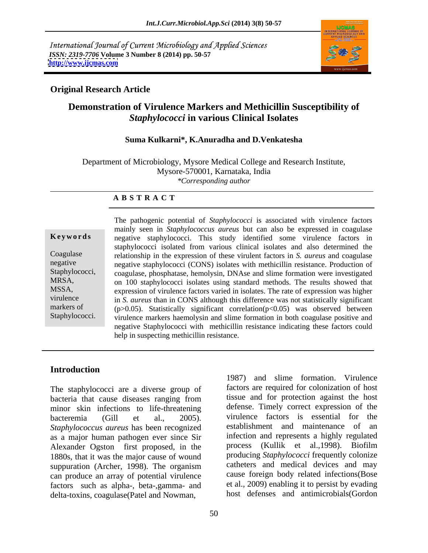International Journal of Current Microbiology and Applied Sciences *ISSN: 2319-7706* **Volume 3 Number 8 (2014) pp. 50-57 <http://www.ijcmas.com>**



### **Original Research Article**

# **Demonstration of Virulence Markers and Methicillin Susceptibility of**  *Staphylococci* **in various Clinical Isolates**

### **Suma Kulkarni\*, K.Anuradha and D.Venkatesha**

Department of Microbiology, Mysore Medical College and Research Institute, Mysore-570001, Karnataka, India *\*Corresponding author* 

### **A B S T R A C T**

**Keywords** negative staphylococci. This study identified some virulence factors in Coagulase relationship in the expression of these virulent factors in *S. aureus* and coagulase negative negative staphylococci (CONS) isolates with methicillin resistance. Production of Staphylococci, coagulase, phosphatase, hemolysin, DNAse and slime formation were investigated MRSA, on 100 staphylococci isolates using standard methods. The results showed that MSSA, expression of virulence factors varied in isolates. The rate of expression was higher virulence in *S. aureus* than in CONS although this difference was not statistically significant markers of  $(p>0.05)$ . Statistically significant correlation( $p<0.05$ ) was observed between Staphylococci. virulence markers haemolysin and slime formation in both coagulase positive and The pathogenic potential of *Staphylococci* is associated with virulence factors mainly seen in *Staphylococcus aureus* but can also be expressed in coagulase staphylococci isolated from various clinical isolates and also determined the negative Staphylococci with methicillin resistance indicating these factors could help in suspecting methicillin resistance.

### **Introduction**

The staphylococci are a diverse group of bacteria that cause diseases ranging from minor skin infections to life-threatening bacteremia (Gill et al., 2005). virulence factors is essential for the *Staphylococcus aureus* has been recognized as a major human pathogen ever since Sir Alexander Ogston first proposed, in the 1880s, that it was the major cause of wound suppuration (Archer, 1998). The organism can produce an array of potential virulence factors such as alpha-, beta-,gamma- and delta-toxins, coagulase(Patel and Nowman,

1987) and slime formation. Virulence factors are required for colonization of host tissue and for protection against the host defense. Timely correct expression of the establishment and maintenance of an infection and represents a highly regulated process (Kullik et al.,1998). Biofilm producing *Staphylococci* frequently colonize catheters and medical devices and may cause foreign body related infections(Bose et al., 2009) enabling it to persist by evading host defenses and antimicrobials(Gordon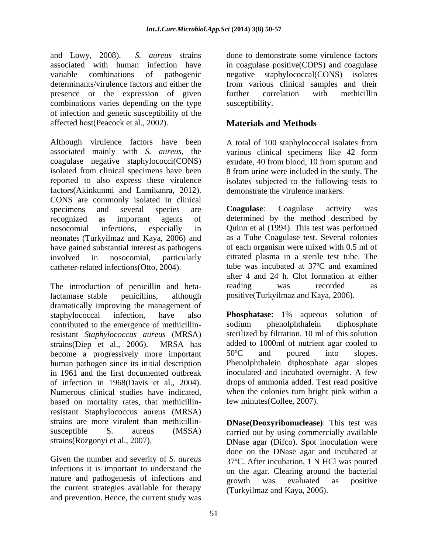and Lowy, 2008). *S. aureus* strains done to demonstrate some virulence factors associated with human infection have in coagulase positive(COPS) and coagulase variable combinations of pathogenic negative staphylococcal(CONS) isolates determinants/virulence factors and either the from various clinical samples and their presence or the expression of given further correlation with methicillin combinations varies depending on the type of infection and genetic susceptibility of the affected host(Peacock et al., 2002).

Although virulence factors have been associated mainly with *S. aureus*, the various clinical specimens like 42 form coagulase negative staphylococci(CONS) exudate, 40 from blood, 10 from sputum and isolated from clinical specimens have been 8 from urine were included in the study. The reported to also express these virulence isolates subjected to the following tests to factors(Akinkunmi and Lamikanra, 2012). CONS are commonly isolated in clinical specimens and several species are **Coagulase**: Coagulase activity was recognized as important agents of determined by the method described by nosocomial infections, especially in Quinn et al (1994). This test was performed neonates (Turkyilmaz and Kaya, 2006) and have gained substantial interest as pathogens involved in nosocomial, particularly citrated plasma in a sterile test tube. The catheter-related infections(Otto, 2004).

The introduction of penicillin and beta-<br>reading was recorded as lactamase stable penicillins, although positive(Turkyilmaz and Kaya, 2006). dramatically improving the management of contributed to the emergence of methicillin-<br>sodium phenolphthalein diphosphate resistant *Staphylococcus aureus* (MRSA) become a progressively more important 50°C and poured into slopes. human pathogen since its initial description of infection in 1968(Davis et al., 2004). based on mortality rates, that methicillinresistant Staphylococcus aureus (MRSA) strains are more virulent than methicillin- **DNase(Deoxyribonuclease)**: This test was susceptible S. aureus (MSSA) carried out by using commercially available

Given the number and severity of *S. aureus* infections it is important to understand the nature and pathogenesis of infections and <br>growth was evaluated as positive the current strategies available for therapy and prevention. Hence, the current study was

further correlation with methicillin susceptibility.

# **Materials and Methods**

A total of 100 staphylococcal isolates from demonstrate the virulence markers.

**Coagulase**: Coagulase activity was as a Tube Coagulase test. Several colonies of each organism were mixed with 0.5 ml of tube was incubated at 37ºC and examined after 4 and 24 h. Clot formation at either reading was recorded as

staphylococcal infection, have also **Phosphatase**: 1% aqueous solution of strains(Diep et al., 2006). MRSA has in 1961 and the first documented outbreak inoculated and incubated overnight. A few Numerous clinical studies have indicated, when the colonies turn bright pink within a **Phosphatase**: 1% aqueous solution of sodium phenolphthalein diphosphate sterilized by filtration. 10 ml of this solution added to 1000ml of nutrient agar cooled to 50ºC and poured into slopes. Phenolphthalein diphosphate agar slopes drops of ammonia added. Test read positive few minutes(Collee, 2007).

strains(Rozgonyi et al., 2007). DNase agar (Difco). Spot inoculation were done on the DNase agar and incubated at 37ºC. After incubation, 1 N HCl was poured on the agar. Clearing around the bacterial growth was evaluated as positive (Turkyilmaz and Kaya, 2006).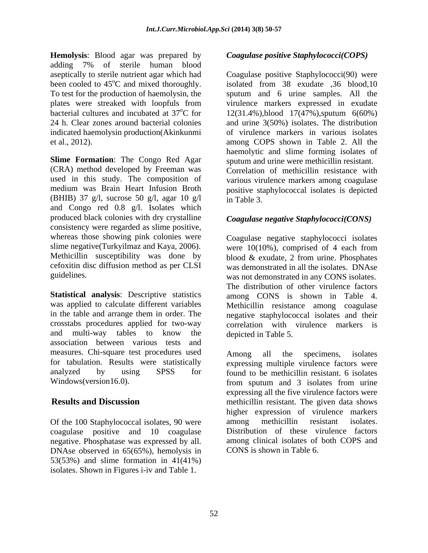**Hemolysis**: Blood agar was prepared by **Coagulase positive Staphylococci(COPS)** adding 7% of sterile human blood aseptically to sterile nutrient agar which had indicated haemolysin production(Akinkunmi

**Slime Formation**: The Congo Red Agar sputum and urine were methicillin resistant. (CRA) method developed by Freeman was Correlation of methicillin resistance with used in this study. The composition of medium was Brain Heart Infusion Broth positive staphylococcal isolates is depicted (BHIB) 37 g/l, sucrose 50 g/l, agar 10 g/l  $\frac{1}{2}$  in Table 3. and Congo red 0.8 g/l. Isolates which produced black colonies with dry crystalline consistency were regarded as slime positive, whereas those showing pink colonies were cefoxitin disc diffusion method as per CLSI

**Statistical analysis**: Descriptive statistics was applied to calculate different variables Methicillin resistance among coagulase in the table and arrange them in order. The negative staphylococcal isolates and their crosstabs procedures applied for two-way and multi-way tables to know the depicted in Table 5. association between various tests and measures. Chi-square test procedures used Among all the specimens, isolates for tabulation. Results were statistically expressing multiple virulence factors were analyzed by using SPSS for found to be methicillin resistant. 6 isolates

Of the 100 Staphylococcal isolates, 90 were among methicillin resistant isolates. coagulase positive and 10 coagulase negative. Phosphatase was expressed by all. DNAse observed in 65(65%), hemolysis in 53(53%) and slime formation in 41(41%)

been cooled to 45<sup>o</sup>C and mixed thoroughly. isolated from 38 exudate ,36 blood,10 To test for the production of haemolysin, the sputum and 6 urine samples. All the plates were streaked with loopfuls from virulence markers expressed in exudate bacterial cultures and incubated at  $37^{\circ}$ C for 12(31.4%), blood 17(47%), sputum 6(60%) 24 h. Clear zones around bacterial colonies and urine 3(50%) isolates. The distribution et al., 2012). among COPS shown in Table 2. All the **Hence the state of the state of the state of the state of the state of the state of the state of the state of the state of the state of the state of the state of the state of the state of the state of the state of the sta** Coagulase positive Staphylococci(90) were of virulence markers in various isolates haemolytic and slime forming isolates of various virulence markers among coagulase in Table 3.

## *Coagulase negative Staphylococci(CONS)*

slime negative(Turkyilmaz and Kaya, 2006). were 10(10%), comprised of 4 each from Methicillin susceptibility was done by blood & exudate, 2 from urine. Phosphates guidelines. was not demonstrated in any CONS isolates. Coagulase negative staphylococci isolates was demonstrated in all the isolates. DNAse The distribution of other virulence factors among CONS is shown in Table 4. Methicillin resistance among coagulase correlation with virulence markers is depicted in Table 5.

Windows(version16.0). from sputum and 3 isolates from urine **Results and Discussion methicillin resistant.** The given data shows Among all the specimens, isolates expressing all the five virulence factors were higher expression of virulence markers among methicillin resistant isolates. Distribution of these virulence factors among clinical isolates of both COPS and CONS is shown in Table 6.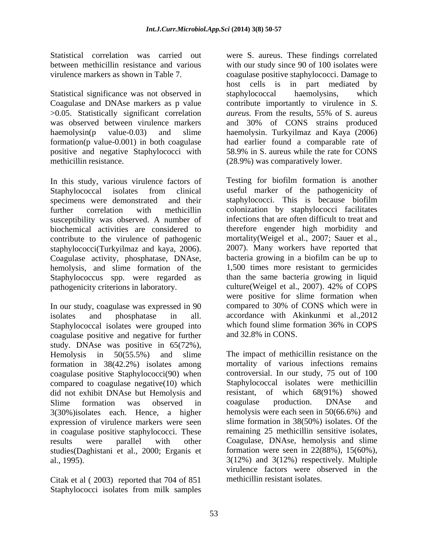Statistical significance was not observed in staphylococcal haemolysins, which >0.05. Statistically significant correlation *aureus*. From the results, 55% of S. aureus formation(p value-0.001) in both coagulase positive and negative Staphylococci with 58.9% in S. aureus while the rate for CONS

In this study, various virulence factors of susceptibility was observed. A number of biochemical activities are considered to staphylococci(Turkyilmaz and kaya, 2006). Coagulase activity, phosphatase, DNAse, hemolysis, and slime formation of the Staphylococcus spp. were regarded as

In our study, coagulase was expressed in 90 isolates and phosphatase in all. accordance with Akinkunmi et al.,2012 Staphylococcal isolates were grouped into which found slime formation 36% in COPS coagulase positive and negative for further study. DNAse was positive in 65(72%), Hemolysis in 50(55.5%) and slime The impact of methicillin resistance on the formation in 38(42.2%) isolates among coagulase positive Staphylococci(90) when compared to coagulase negative(10) which did not exhibit DNAse but Hemolysis and Slime formation was observed in coagulase production. DNAse and 3(30%)isolates each. Hence, a higher expression of virulence markers were seen in coagulase positive staphylococci. These results were parallel with other Coagulase, DNAse, hemolysis and slime studies(Daghistani et al., 2000; Erganis et formation were seen in 22(88%), 15(60%), al., 1995).  $3(12\%)$  and  $3(12\%)$  respectively. Multiple

Citak et al ( 2003) reported that 704 of 851 Staphylococci isolates from milk samples

Statistical correlation was carried out were S. aureus. These findings correlated between methicillin resistance and various with our study since 90 of 100 isolates were virulence markers as shown in Table 7. coagulase positive staphylococci. Damage to Coagulase and DNAse markers as p value contribute importantly to virulence in *S.*  was observed between virulence markers and 30% of CONS strains produced haemolysin(p value-0.03) and slime haemolysin. Turkyilmaz and Kaya (2006) methicillin resistance. (28.9%) was comparatively lower. host cells is in part mediated by staphylococcal haemolysins, which *aureus.* From the results, 55% of S. aureus had earlier found a comparable rate of 58.9% in S. aureus while the rate for CONS

Staphylococcal isolates from clinical useful marker of the pathogenicity of specimens were demonstrated and their staphylococci. This is because biofilm further correlation with methicillin colonization by staphylococci facilitates contribute to the virulence of pathogenic mortality(Weigel et al., 2007; Sauer et al., pathogenicity criterions in laboratory. culture(Weigel et al., 2007). 42% of COPS Testing for biofilm formation is another useful marker of the pathogenicity of infections that are often difficult to treat and therefore engender high morbidity and 2007). Many workers have reported that bacteria growing in a biofilm can be up to 1,500 times more resistant to germicides than the same bacteria growing in liquid were positive for slime formation when compared to 30% of CONS which were in which found slime formation 36% in COPS and 32.8% in CONS.

> mortality of various infections remains controversial. In our study, 75 out of 100 Staphylococcal isolates were methicillin resistant, of which 68(91%) showed coagulase production. DNAse and hemolysis were each seen in 50(66.6%) and slime formation in 38(50%) isolates. Of the remaining 25 methicillin sensitive isolates, formation were seen in 22(88%), 15(60%), 3(12%) and 3(12%) respectively. Multiple virulence factors were observed in the methicillin resistant isolates.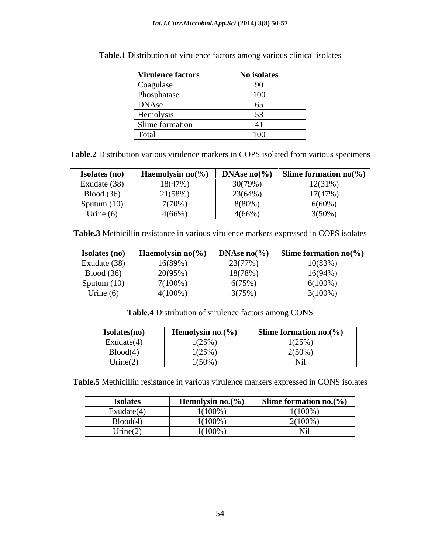| <b>Virulence factors</b> | No isolates |
|--------------------------|-------------|
| Coagulase                |             |
| Phosphatase              | 100         |
| <b>DNAse</b>             |             |
| Hemolysis                |             |
| Slime formation          |             |
| Total                    | 100         |

**Table.1** Distribution of virulence factors among various clinical isolates

**Table.2** Distribution various virulence markers in COPS isolated from various specimens

| Isolates (no)     | Haemolysin no( $\%$ ) | DNAse $no(\% )$ | Slime formation $no(\% )$ |
|-------------------|-----------------------|-----------------|---------------------------|
| Exudate (38)      | 18(47%)               | 30(79%)         | 12(31%                    |
| <b>Blood</b> (36) | 21(58%)               | 23(64%)         | $17(47\%)$                |
| Sputum $(10)$     | $7(70\%$              | 8(80%           | $6(60\%)$                 |
| Urine $(6)$       | $4(66\%$              | 4(66%           | $3(50\%)$                 |

**Table.3** Methicillin resistance in various virulence markers expressed in COPS isolates

| Isolates (no) | <b>Haemolysin no</b> $(\%$ ) | DNAse $no(\% )$ | Slime formation $no(\% )$ |
|---------------|------------------------------|-----------------|---------------------------|
| Exudate (38)  | 16(89%)                      | 23(77%)         | 10(83%)                   |
| Blood (36)    | 20(95%)                      | 18(78%          | $16(94\%)$                |
| Sputum $(10)$ | $7(100\%)$                   | $6(75\%)$       | $6(100\%)$                |
| Urine $(6)$   | $4(100\%)$                   | 3(75%)          | $3(100\%)$                |

**Table.4** Distribution of virulence factors among CONS

| Isolates(no)                             | Hemolysin no. $(\% )$ | Slime formation no. $(\%)$ |
|------------------------------------------|-----------------------|----------------------------|
| Exudate(4)                               | (750/<br>1 (2J 70)    | $(25\%)$                   |
| Blood(4)                                 | (750/<br>112070       | $2(50\%)$                  |
| $\sim$<br>$\mathbf{r}$<br>$U$ rine $(2)$ | $1(50\%)$             | Nil                        |

**Table.5** Methicillin resistance in various virulence markers expressed in CONS isolates

| <b>Isolates</b>                                      | Hemolysin no. $(\% )$ | Slime formation no. $(\% )$ |
|------------------------------------------------------|-----------------------|-----------------------------|
| $\sim$ 4.5<br>$\overline{\phantom{0}}$<br>Exudate(4) | $(100\%$              | $1(100\%)$                  |
| Blood(4)                                             | (100%                 | $2(100\%)$                  |
| Urine $(2)$                                          | (100%                 | <b>INH</b>                  |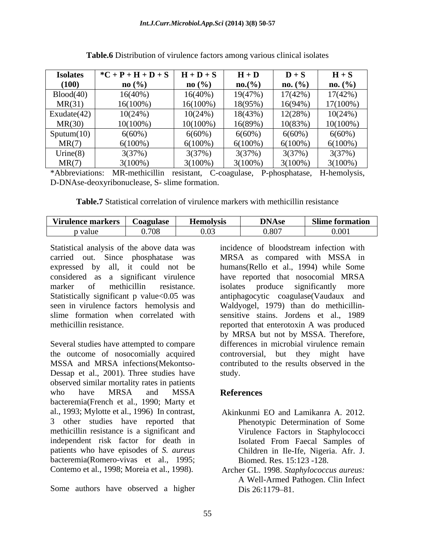| <b>Isolates</b>  | $*C + P + H + D + S$ | $H + D + S$       | $H + D$    | $D + S$    | $H + S$             |
|------------------|----------------------|-------------------|------------|------------|---------------------|
| (100)            | $\mathbf{no}$ (%)    | $\mathbf{no}$ (%) | $no.(\%)$  | $no. (\%)$ | $no. (\frac{0}{0})$ |
| Blood(40)        | $16(40\%)$           | $16(40\%)$        | 19(47%)    | 17(42%     | 17(42%)             |
| MR(31)           | $16(100\%)$          | $16(100\%)$       | 18(95%)    | $16(94\%)$ | 17(100%)            |
| Exudate $(42)$   | 10(24%)              | 10(24%            | 18(43%)    | 12(28%)    | 10(24%)             |
| MR(30)           | $10(100\%)$          | $10(100\%$        | 16(89%)    | 10(83%)    | $10(100\%)$         |
| $S$ putum $(10)$ | $6(60\%)$            | $6(60\%)$         | 6(60%)     | $6(60\%)$  | $6(60\%)$           |
| MR(7)            | $6(100\%)$           | $6(100\%)$        | $6(100\%)$ | $6(100\%)$ | $6(100\%)$          |
| Urine $(8)$      | 3(37%                | 3(37%             | 3(37%)     | 3(37%)     | 3(37%)              |
| MR(7)            | $3(100\%)$           | $3(100\%)$        | $3(100\%)$ | $3(100\%)$ | $3(100\%)$          |

| Table.6<br>.<br>nical isolates<br>b Distribution of virulence<br>e factors among various o<br>сппеат |  |
|------------------------------------------------------------------------------------------------------|--|
|                                                                                                      |  |

\*Abbreviations: MR-methicillin resistant, C-coagulase, P-phosphatase, H-hemolysis, D-DNAse-deoxyribonuclease, S- slime formation.

**Table.7** Statistical correlation of virulence markers with methicillin resistance

| <b>Virulence markers</b> | <b>Coagulase</b>                                 | <b>Aemolvsis</b> | <b>DNAse</b><br>- - - | <b>Slime formation</b> |
|--------------------------|--------------------------------------------------|------------------|-----------------------|------------------------|
| p value                  | $\sim$ $\sim$ $\sim$<br>- 076.<br>. <i>. .</i> . | . .<br>0.03      | 11 X I                | 0.001                  |

Statistical analysis of the above data was incidence of bloodstream infection with

Several studies have attempted to compare the outcome of nosocomially acquired Dessap et al., 2001). Three studies have study. observed similar mortality rates in patients who have MRSA and MSSA **References** bacteremia(French et al., 1990; Marty et al., 1993; Mylotte et al., 1996) In contrast, 3 other studies have reported that methicillin resistance is a significant and independent risk factor for death in patients who have episodes of *S. aureus* Children in Ile-Ife, Nigeria. Afr. J. bacteremia(Romero-vivas et al., 1995; Contemo et al., 1998; Moreia et al., 1998). Archer GL. 1998. *Staphylococcus aureus:*

Some authors have observed a higher Dis 26:1179-81.

carried out. Since phosphatase was MRSA as compared with MSSA in expressed by all, it could not be humans(Rello et al., 1994) while Some considered as a significant virulence have reported that nosocomial MRSA marker of methicillin resistance. isolates produce significantly more Statistically significant p value<0.05 was antiphagocytic coagulase(Vaudaux and seen in virulence factors hemolysis and Waldyogel, 1979) than do methicillin slime formation when correlated with sensitive stains. Jordens et al., 1989 methicillin resistance. The reported that enterotoxin A was produced MSSA and MRSA infections(Mekontso- contributed to the results observed in the incidence of bloodstream infection with isolates produce significantly more by MRSA but not by MSSA. Therefore, differences in microbial virulence remain controversial, but they might have study.

## **References**

- Akinkunmi EO and Lamikanra A. 2012. Phenotypic Determination of Some Virulence Factors in Staphylococci Isolated From Faecal Samples of Biomed. Res. 15:123 -128.
- A Well-Armed Pathogen. Clin Infect  $Dis 26:1179-81.$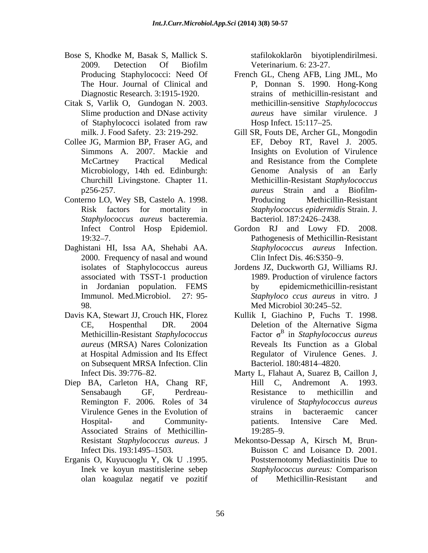- Bose S, Khodke M, Basak S, Mallick S. stafilokoklarõn biyotiplendirilmesi. 2009. Detection Of Biofilm
- Citak S, Varlik O, Gundogan N. 2003.
- 
- Conterno LO, Wey SB, Castelo A. 1998. *Staphylococcus aureus* bacteremia.
- Daghistani HI, Issa AA, Shehabi AA. 2000. Frequency of nasal and wound Clin Infect Dis. 46:S350-9. isolates of Staphylococcus aureus associated with TSST-1 production in Jordanian population. FEMS 98. Med Microbiol 30:245–52.
- *aureus* (MRSA) Nares Colonization on Subsequent MRSA Infection. Clin Bacteriol. 180:4814–4820.
- Diep BA, Carleton HA, Chang RF, Hill C, Andremont A. 1993. Associated Strains of Methicillin-
- Erganis O, Kuyucuoglu Y, Ok U .1995.

Veterinarium. 6: 23-27.

- Producing Staphylococci: Need Of French GL, Cheng AFB, Ling JML, Mo The Hour. Journal of Clinical and P, Donnan S. 1990. Hong-Kong Diagnostic Research. 3:1915-1920. strains of methicillin-resistant and Slime production and DNase activity *aureus* have similar virulence. J of Staphylococci isolated from raw Hosp Infect. 15:117–25. methicillin-sensitive *Staphylococcus*  Hosp Infect. 15:117–25.
- milk. J. Food Safety. 23: 219-292. Gill SR, Fouts DE, Archer GL, Mongodin Collee JG, Marmion BP, Fraser AG, and EF, Deboy RT, Ravel J. 2005. Simmons A. 2007. Mackie and Insights on Evolution of Virulence McCartney Practical Medical and Resistance from the Complete Microbiology, 14th ed. Edinburgh: Genome Analysis of an Early Churchill Livingstone. Chapter 11. Methicillin-Resistant *Staphylococcus*  p256-257. *aureus* Strain and a Biofilm- Risk factors for mortality in *Staphylococcus epidermidis* Strain. J. and Resistance from the Complete Producing Methicillin-Resistant Bacteriol. 187:2426–2438.
	- Infect Control Hosp Epidemiol. Gordon RJ and Lowy FD. 2008. 19:32 7. Pathogenesis of Methicillin-Resistant Gordon RJ and Lowy FD. *Staphylococcus aureus* Infection. Clin Infect Dis.  $46: S350-9$ .
	- Immunol. Med.Microbiol. 27: 95- *Staphyloco ccus aureus* in vitro. J Jordens JZ, Duckworth GJ, Williams RJ. 1989. Production of virulence factors by epidemicmethicillin-resistant Med Microbiol 30:245–52.
- Davis KA, Stewart JJ, Crouch HK, Florez Kullik I, Giachino P, Fuchs T. 1998. CE, Hospenthal DR. 2004 Deletion of the Alternative Sigma Methicillin-Resistant *Staphylococcus*  Factor in *Staphylococcus aureus* at Hospital Admission and Its Effect Regulator of Virulence Genes. J.  $\beta$  in  $\alpha$   $\beta$   $\alpha$ Reveals Its Function as a Global Bacteriol. 180:4814–4820.
	- Infect Dis. 39:776 82. Marty L, Flahaut A, Suarez B, Caillon J, Sensabaugh GF, Perdreau- Resistance to methicillin and Remington F. 2006. Roles of 34 virulence of *Staphylococcus aureus* Virulence Genes in the Evolution of Hospital- and Community- Andremont A. Resistance to methicillin and strains in bacteraemic cancer patients. Intensive Care Med. 19:285–9.
	- Resistant *Staphylococcus aureus.* J Mekontso-Dessap A, Kirsch M, Brun- Infect Dis. 193:1495–1503. Buisson C and Loisance D. 2001. Inek ve koyun mastitislerine sebep *Staphylococcus aureus:* Comparison olan koagulaz negatif ve pozitif Poststernotomy Mediastinitis Due to Methicillin-Resistant